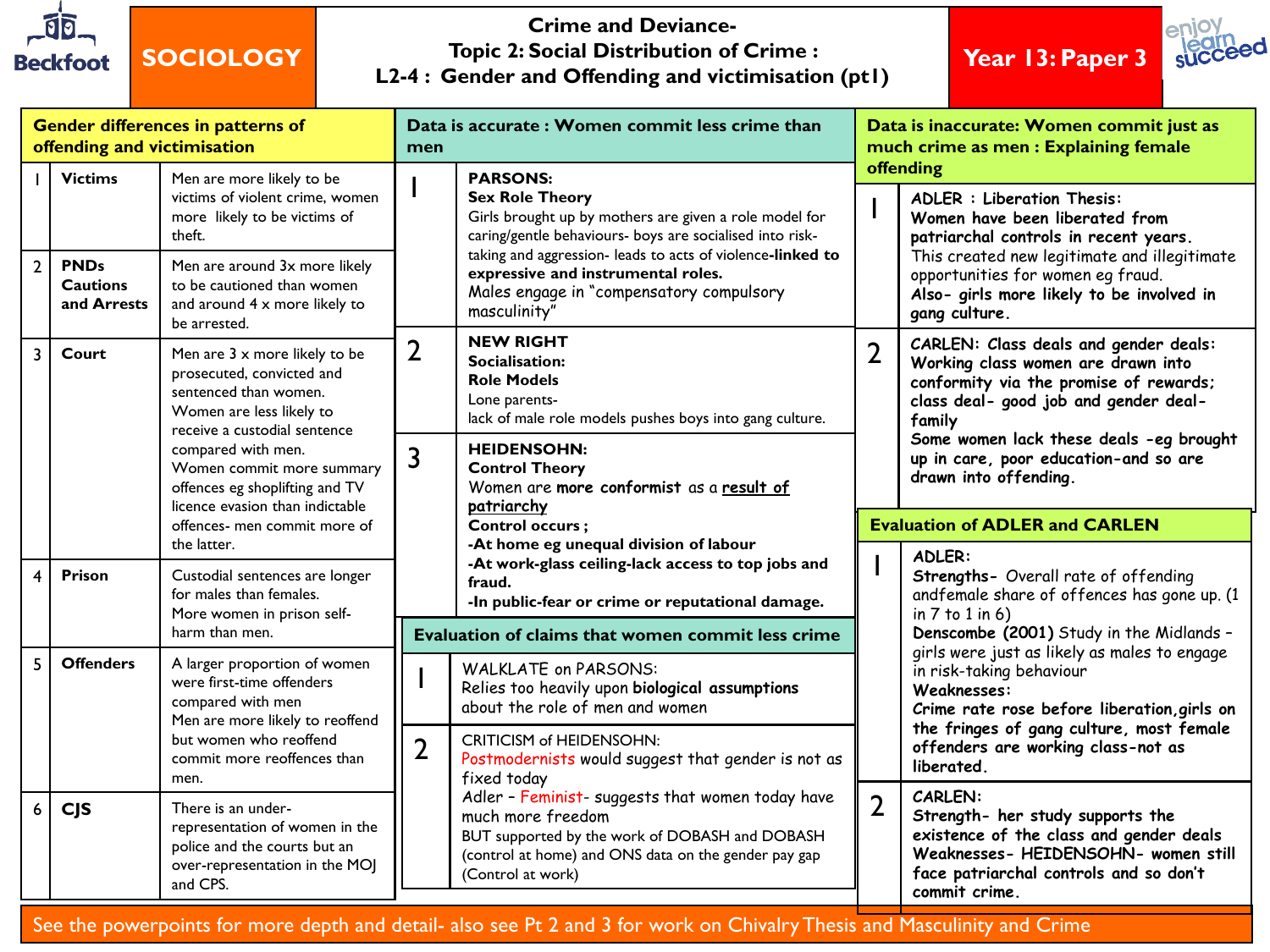

#### **Crime and Deviance-Topic 2: Social Distribution of Crime : L2-4 : Gender and Offending and victimisation (pt1)**

**Year 13: Paper 3**



| Gender differences in patterns of<br>offending and victimisation |                                               |                                                                                                                                                 |                                                                                                                                                        | Data is accurate: Women commit less crime than                                                                                                                                                                           | Data is inaccurate: Women commit just as<br>much crime as men : Explaining female |                                                                                                                                                                                                                                                                              |  |
|------------------------------------------------------------------|-----------------------------------------------|-------------------------------------------------------------------------------------------------------------------------------------------------|--------------------------------------------------------------------------------------------------------------------------------------------------------|--------------------------------------------------------------------------------------------------------------------------------------------------------------------------------------------------------------------------|-----------------------------------------------------------------------------------|------------------------------------------------------------------------------------------------------------------------------------------------------------------------------------------------------------------------------------------------------------------------------|--|
|                                                                  | <b>Victims</b>                                | Men are more likely to be<br>victims of violent crime, women<br>more likely to be victims of<br>theft.                                          |                                                                                                                                                        | <b>PARSONS:</b><br><b>Sex Role Theory</b><br>Girls brought up by mothers are given a role model for<br>caring/gentle behaviours- boys are socialised into risk-                                                          |                                                                                   | offending<br><b>ADLER : Liberation Thesis:</b><br>Women have been liberated from<br>patriarchal controls in recent years.<br>This created new legitimate and illegitimate<br>opportunities for women eq fraud.<br>Also- girls more likely to be involved in<br>gang culture. |  |
| $\overline{2}$                                                   | <b>PNDs</b><br><b>Cautions</b><br>and Arrests | Men are around 3x more likely<br>to be cautioned than women<br>and around 4 x more likely to<br>be arrested.                                    |                                                                                                                                                        | taking and aggression- leads to acts of violence-linked to<br>expressive and instrumental roles.<br>Males engage in "compensatory compulsory<br>masculinity"                                                             |                                                                                   |                                                                                                                                                                                                                                                                              |  |
| $\overline{3}$                                                   | Court                                         | Men are 3 x more likely to be<br>prosecuted, convicted and<br>sentenced than women.<br>Women are less likely to<br>receive a custodial sentence | <b>NEW RIGHT</b><br>$\overline{2}$<br>Socialisation:<br><b>Role Models</b><br>Lone parents-<br>lack of male role models pushes boys into gang culture. |                                                                                                                                                                                                                          | $\overline{2}$                                                                    | CARLEN: Class deals and gender deals:<br>Working class women are drawn into<br>conformity via the promise of rewards;<br>class deal- good job and gender deal-<br>family                                                                                                     |  |
|                                                                  |                                               | compared with men.<br>Women commit more summary<br>offences eg shoplifting and TV<br>licence evasion than indictable                            | 3                                                                                                                                                      | <b>HEIDENSOHN:</b><br><b>Control Theory</b><br>Women are more conformist as a result of<br>patriarchy                                                                                                                    |                                                                                   | Some women lack these deals -eg brought<br>up in care, poor education-and so are<br>drawn into offending.                                                                                                                                                                    |  |
|                                                                  |                                               | offences- men commit more of<br>the latter.                                                                                                     |                                                                                                                                                        | Control occurs;<br>-At home eg unequal division of labour                                                                                                                                                                | <b>Evaluation of ADLER and CARLEN</b>                                             |                                                                                                                                                                                                                                                                              |  |
| $\overline{\mathbf{4}}$                                          | Prison                                        | Custodial sentences are longer<br>for males than females.<br>More women in prison self-                                                         |                                                                                                                                                        | -At work-glass ceiling-lack access to top jobs and<br>fraud.<br>-In public-fear or crime or reputational damage.                                                                                                         |                                                                                   | ADLER:<br>Strengths- Overall rate of offending<br>andfemale share of offences has gone up. (1<br>in $7$ to $1$ in $6$ )                                                                                                                                                      |  |
|                                                                  |                                               | harm than men.                                                                                                                                  |                                                                                                                                                        | Evaluation of claims that women commit less crime                                                                                                                                                                        |                                                                                   | Denscombe (2001) Study in the Midlands -                                                                                                                                                                                                                                     |  |
| 5                                                                | <b>Offenders</b>                              | A larger proportion of women<br>were first-time offenders<br>compared with men<br>Men are more likely to reoffend                               |                                                                                                                                                        | <b>WALKLATE on PARSONS:</b><br>Relies too heavily upon biological assumptions<br>about the role of men and women<br><b>CRITICISM of HEIDENSOHN:</b><br>Postmodernists would suggest that gender is not as<br>fixed today |                                                                                   | girls were just as likely as males to engage<br>in risk-taking behaviour<br>Weaknesses:<br>Crime rate rose before liberation, girls on<br>the fringes of gang culture, most female<br>offenders are working class-not as<br>liberated.                                       |  |
|                                                                  |                                               | but women who reoffend<br>commit more reoffences than<br>men.                                                                                   | $\overline{2}$                                                                                                                                         |                                                                                                                                                                                                                          |                                                                                   |                                                                                                                                                                                                                                                                              |  |
| 6                                                                | <b>CJS</b>                                    | There is an under-<br>representation of women in the<br>police and the courts but an<br>over-representation in the MOJ<br>and CPS.              |                                                                                                                                                        | Adler - Feminist- suggests that women today have<br>much more freedom<br>BUT supported by the work of DOBASH and DOBASH<br>(control at home) and ONS data on the gender pay gap<br>(Control at work)                     | $\overline{2}$                                                                    | CARLEN:<br>Strength- her study supports the<br>existence of the class and gender deals<br>Weaknesses- HEIDENSOHN- women still<br>face patriarchal controls and so don't<br>commit crime.                                                                                     |  |

See the powerpoints for more depth and detail- also see Pt 2 and 3 for work on Chivalry Thesis and Masculinity and Crime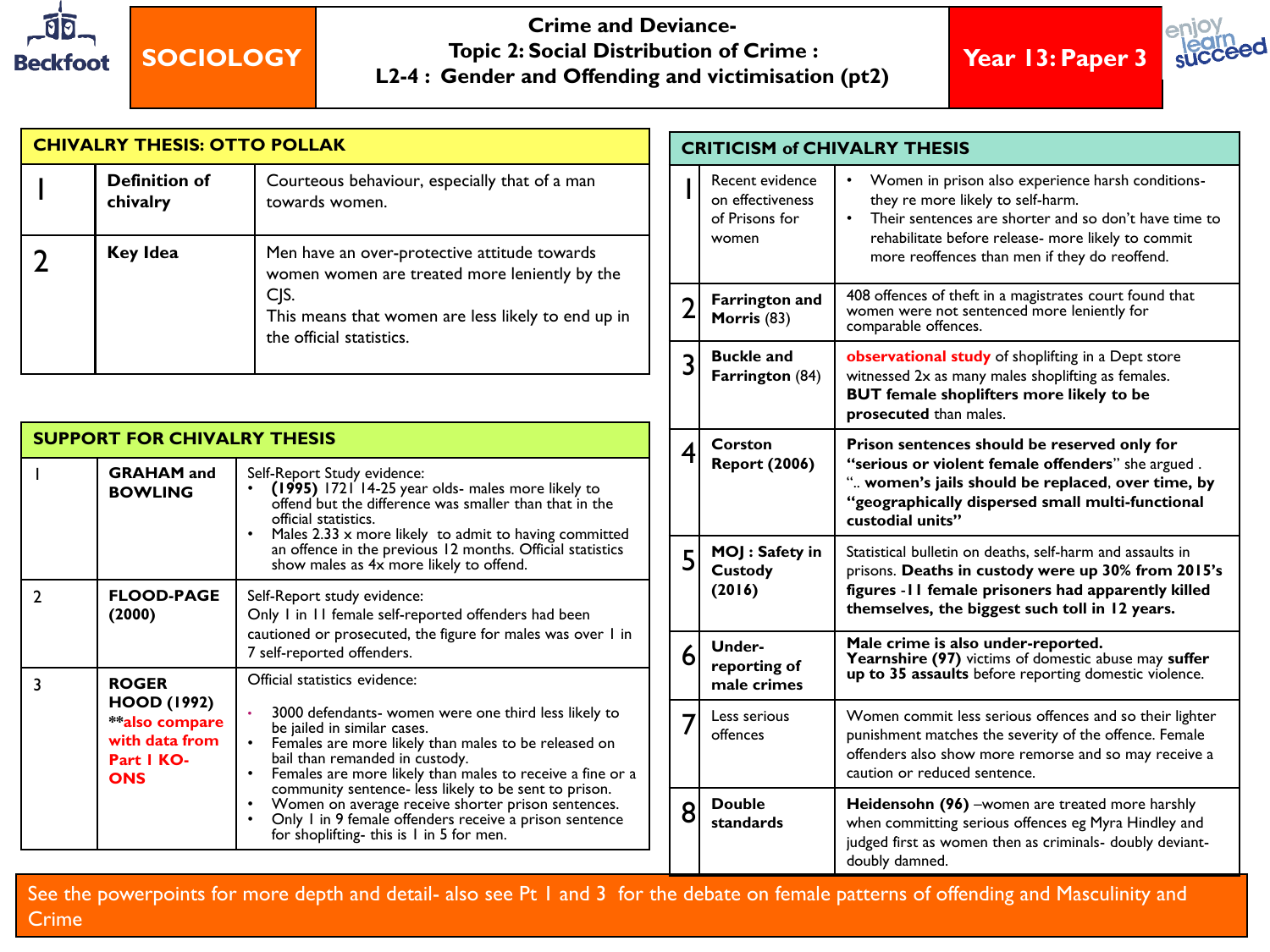

**Crime and Deviance-Topic 2: Social Distribution of Crime : L2-4 : Gender and Offending and victimisation (pt2)**

**Year 13: Paper 3**



|                | <b>CHIVALRY THESIS: OTTO POLLAK</b>                                                |                                                                                                                                                                                                                                                                                                                                                                                                                                                                                          |                | <b>CRITICISM of CHIVALRY THESIS</b>                            |                                                                                                                                                                                                                                                          |  |
|----------------|------------------------------------------------------------------------------------|------------------------------------------------------------------------------------------------------------------------------------------------------------------------------------------------------------------------------------------------------------------------------------------------------------------------------------------------------------------------------------------------------------------------------------------------------------------------------------------|----------------|----------------------------------------------------------------|----------------------------------------------------------------------------------------------------------------------------------------------------------------------------------------------------------------------------------------------------------|--|
|                | <b>Definition of</b><br>chivalry                                                   | Courteous behaviour, especially that of a man<br>towards women.                                                                                                                                                                                                                                                                                                                                                                                                                          |                | Recent evidence<br>on effectiveness<br>of Prisons for<br>women | Women in prison also experience harsh conditions-<br>they re more likely to self-harm.<br>• Their sentences are shorter and so don't have time to<br>rehabilitate before release- more likely to commit<br>more reoffences than men if they do reoffend. |  |
| $\overline{2}$ | <b>Key Idea</b>                                                                    | Men have an over-protective attitude towards<br>women women are treated more leniently by the<br>CJS.<br>This means that women are less likely to end up in<br>the official statistics.                                                                                                                                                                                                                                                                                                  |                |                                                                |                                                                                                                                                                                                                                                          |  |
|                |                                                                                    |                                                                                                                                                                                                                                                                                                                                                                                                                                                                                          | $\overline{2}$ | <b>Farrington and</b><br>Morris (83)                           | 408 offences of theft in a magistrates court found that<br>women were not sentenced more leniently for<br>comparable offences.                                                                                                                           |  |
|                |                                                                                    |                                                                                                                                                                                                                                                                                                                                                                                                                                                                                          | 3              | <b>Buckle and</b><br>Farrington (84)                           | observational study of shoplifting in a Dept store<br>witnessed 2x as many males shoplifting as females.<br><b>BUT</b> female shoplifters more likely to be<br>prosecuted than males.                                                                    |  |
|                | <b>SUPPORT FOR CHIVALRY THESIS</b><br><b>GRAHAM</b> and<br><b>BOWLING</b>          | Self-Report Study evidence:<br>(1995) 1721 14-25 year olds- males more likely to<br>offend but the difference was smaller than that in the<br>official statistics.                                                                                                                                                                                                                                                                                                                       | 4              | <b>Corston</b><br><b>Report (2006)</b>                         | Prison sentences should be reserved only for<br>"serious or violent female offenders" she argued.<br>" women's jails should be replaced, over time, by<br>"geographically dispersed small multi-functional<br>custodial units"                           |  |
| $\overline{2}$ | <b>FLOOD-PAGE</b><br>(2000)                                                        | Males 2.33 x more likely to admit to having committed<br>an offence in the previous 12 months. Official statistics<br>show males as 4x more likely to offend.<br>Self-Report study evidence:<br>Only I in II female self-reported offenders had been                                                                                                                                                                                                                                     | 5              | MOJ : Safety in<br>Custody<br>(2016)                           | Statistical bulletin on deaths, self-harm and assaults in<br>prisons. Deaths in custody were up 30% from 2015's<br>figures - I I female prisoners had apparently killed<br>themselves, the biggest such toll in 12 years.                                |  |
| 3              | <b>ROGER</b>                                                                       | cautioned or prosecuted, the figure for males was over I in<br>7 self-reported offenders.<br>Official statistics evidence:                                                                                                                                                                                                                                                                                                                                                               | 6              | Under-<br>reporting of<br>male crimes                          | Male crime is also under-reported.<br>Yearnshire (97) victims of domestic abuse may suffer<br>up to 35 assaults before reporting domestic violence.                                                                                                      |  |
|                | <b>HOOD (1992)</b><br>**also compare<br>with data from<br>Part I KO-<br><b>ONS</b> | 3000 defendants- women were one third less likely to<br>be jailed in similar cases.<br>Females are more likely than males to be released on<br>bail than remanded in custody.<br>Females are more likely than males to receive a fine or a<br>$\bullet$<br>community sentence- less likely to be sent to prison.<br>Women on average receive shorter prison sentences.<br>Only I in 9 female offenders receive a prison sentence<br>$\bullet$<br>for shoplifting-this is 1 in 5 for men. |                | Less serious<br>offences                                       | Women commit less serious offences and so their lighter<br>punishment matches the severity of the offence. Female<br>offenders also show more remorse and so may receive a<br>caution or reduced sentence.                                               |  |
|                |                                                                                    |                                                                                                                                                                                                                                                                                                                                                                                                                                                                                          | 8              | <b>Double</b><br>standards                                     | Heidensohn (96) -women are treated more harshly<br>when committing serious offences eg Myra Hindley and<br>judged first as women then as criminals- doubly deviant-<br>doubly damned.                                                                    |  |

See the powerpoints for more depth and detail- also see Pt 1 and 3 for the debate on female patterns of offending and Masculinity and Crime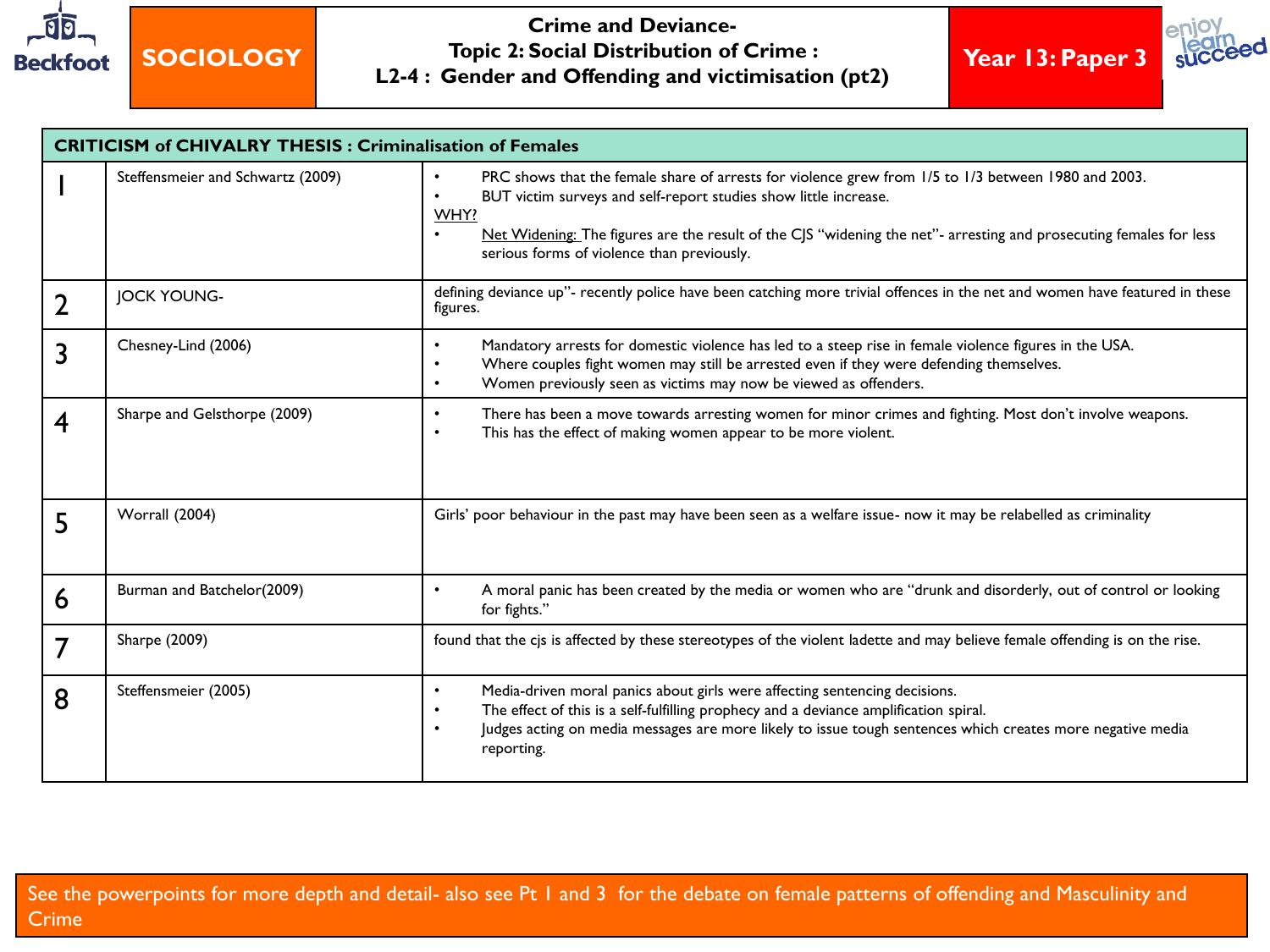

**Crime and Deviance-Topic 2: Social Distribution of Crime : L2-4 : Gender and Offending and victimisation (pt2)**





| <b>CRITICISM of CHIVALRY THESIS: Criminalisation of Females</b> |                                   |                                                                                                                                                                                                                                                                                                                                                                               |  |  |  |  |
|-----------------------------------------------------------------|-----------------------------------|-------------------------------------------------------------------------------------------------------------------------------------------------------------------------------------------------------------------------------------------------------------------------------------------------------------------------------------------------------------------------------|--|--|--|--|
|                                                                 | Steffensmeier and Schwartz (2009) | PRC shows that the female share of arrests for violence grew from 1/5 to 1/3 between 1980 and 2003.<br>$\bullet$<br>BUT victim surveys and self-report studies show little increase.<br>WHY?<br>Net Widening: The figures are the result of the CJS "widening the net"- arresting and prosecuting females for less<br>$\bullet$<br>serious forms of violence than previously. |  |  |  |  |
| $\overline{2}$                                                  | <b>JOCK YOUNG-</b>                | defining deviance up"- recently police have been catching more trivial offences in the net and women have featured in these<br>figures.                                                                                                                                                                                                                                       |  |  |  |  |
| 3                                                               | Chesney-Lind (2006)               | Mandatory arrests for domestic violence has led to a steep rise in female violence figures in the USA.<br>$\bullet$<br>Where couples fight women may still be arrested even if they were defending themselves.<br>Women previously seen as victims may now be viewed as offenders.<br>$\bullet$                                                                               |  |  |  |  |
| $\boldsymbol{4}$                                                | Sharpe and Gelsthorpe (2009)      | There has been a move towards arresting women for minor crimes and fighting. Most don't involve weapons.<br>$\bullet$<br>This has the effect of making women appear to be more violent.<br>$\bullet$                                                                                                                                                                          |  |  |  |  |
| 5                                                               | Worrall (2004)                    | Girls' poor behaviour in the past may have been seen as a welfare issue- now it may be relabelled as criminality                                                                                                                                                                                                                                                              |  |  |  |  |
| 6                                                               | Burman and Batchelor(2009)        | A moral panic has been created by the media or women who are "drunk and disorderly, out of control or looking<br>$\bullet$<br>for fights."                                                                                                                                                                                                                                    |  |  |  |  |
| 7                                                               | Sharpe (2009)                     | found that the cjs is affected by these stereotypes of the violent ladette and may believe female offending is on the rise.                                                                                                                                                                                                                                                   |  |  |  |  |
| 8                                                               | Steffensmeier (2005)              | Media-driven moral panics about girls were affecting sentencing decisions.<br>$\bullet$<br>The effect of this is a self-fulfilling prophecy and a deviance amplification spiral.<br>Judges acting on media messages are more likely to issue tough sentences which creates more negative media<br>$\bullet$<br>reporting.                                                     |  |  |  |  |

See the powerpoints for more depth and detail- also see Pt 1 and 3 for the debate on female patterns of offending and Masculinity and Crime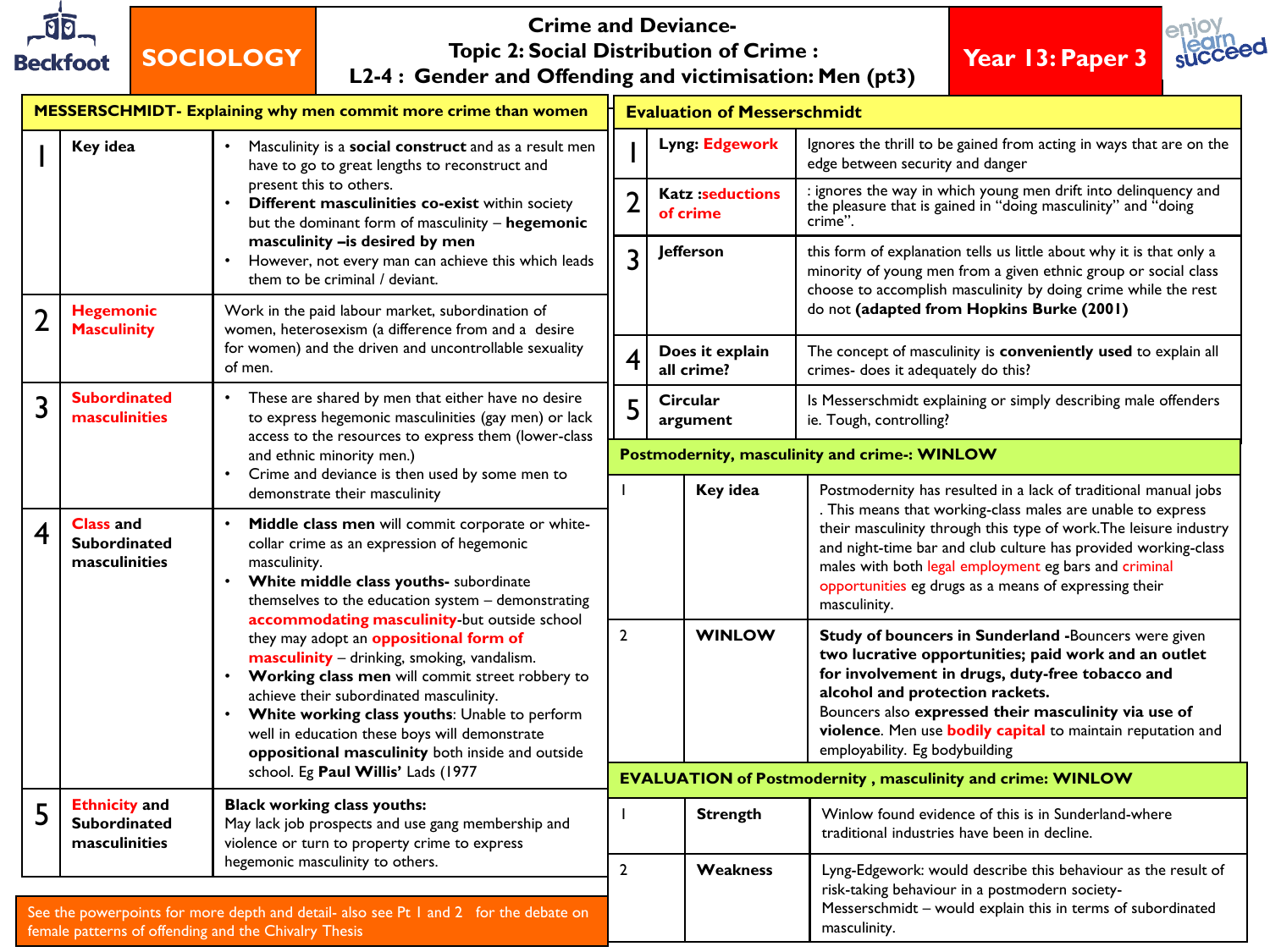

#### **Crime and Deviance-Topic 2: Social Distribution of Crime : L2-4 : Gender and Offending and victimisation: Men (pt3)**

### **Year 13: Paper 3**



| MESSERSCHMIDT- Explaining why men commit more crime than women                                                                                                                   |                                                                                                                                                                                                                                                                                                                                         |                                                                                                                                                                                                                                                                                                                                                  |                       | <b>Evaluation of Messerschmidt</b>                                |                                                                                                                                             |                                                                                                                                                                                                                                                                                                                                                                    |  |  |
|----------------------------------------------------------------------------------------------------------------------------------------------------------------------------------|-----------------------------------------------------------------------------------------------------------------------------------------------------------------------------------------------------------------------------------------------------------------------------------------------------------------------------------------|--------------------------------------------------------------------------------------------------------------------------------------------------------------------------------------------------------------------------------------------------------------------------------------------------------------------------------------------------|-----------------------|-------------------------------------------------------------------|---------------------------------------------------------------------------------------------------------------------------------------------|--------------------------------------------------------------------------------------------------------------------------------------------------------------------------------------------------------------------------------------------------------------------------------------------------------------------------------------------------------------------|--|--|
|                                                                                                                                                                                  | Key idea                                                                                                                                                                                                                                                                                                                                | Masculinity is a social construct and as a result men<br>have to go to great lengths to reconstruct and                                                                                                                                                                                                                                          |                       |                                                                   | Lyng: Edgework                                                                                                                              | Ignores the thrill to be gained from acting in ways that are on the<br>edge between security and danger                                                                                                                                                                                                                                                            |  |  |
|                                                                                                                                                                                  |                                                                                                                                                                                                                                                                                                                                         | present this to others.<br>Different masculinities co-exist within society<br>but the dominant form of masculinity - hegemonic<br>masculinity - is desired by men<br>However, not every man can achieve this which leads<br>them to be criminal / deviant.                                                                                       | $\overline{2}$        | <b>Katz:seductions</b><br>of crime                                | : ignores the way in which young men drift into delinquency and<br>the pleasure that is gained in "doing masculinity" and "doing<br>crime". |                                                                                                                                                                                                                                                                                                                                                                    |  |  |
|                                                                                                                                                                                  |                                                                                                                                                                                                                                                                                                                                         |                                                                                                                                                                                                                                                                                                                                                  | <b>lefferson</b><br>3 |                                                                   |                                                                                                                                             | this form of explanation tells us little about why it is that only a<br>minority of young men from a given ethnic group or social class<br>choose to accomplish masculinity by doing crime while the rest<br>do not (adapted from Hopkins Burke (2001)                                                                                                             |  |  |
| $\overline{2}$                                                                                                                                                                   | <b>Hegemonic</b><br><b>Masculinity</b>                                                                                                                                                                                                                                                                                                  | Work in the paid labour market, subordination of<br>women, heterosexism (a difference from and a desire                                                                                                                                                                                                                                          |                       |                                                                   |                                                                                                                                             |                                                                                                                                                                                                                                                                                                                                                                    |  |  |
|                                                                                                                                                                                  |                                                                                                                                                                                                                                                                                                                                         | for women) and the driven and uncontrollable sexuality<br>of men.                                                                                                                                                                                                                                                                                | 4                     |                                                                   | Does it explain<br>all crime?                                                                                                               | The concept of masculinity is conveniently used to explain all<br>crimes- does it adequately do this?                                                                                                                                                                                                                                                              |  |  |
| 3                                                                                                                                                                                | <b>Subordinated</b><br>masculinities                                                                                                                                                                                                                                                                                                    | These are shared by men that either have no desire<br>to express hegemonic masculinities (gay men) or lack<br>access to the resources to express them (lower-class                                                                                                                                                                               |                       | <b>Circular</b>                                                   | argument                                                                                                                                    | Is Messerschmidt explaining or simply describing male offenders<br>ie. Tough, controlling?                                                                                                                                                                                                                                                                         |  |  |
|                                                                                                                                                                                  |                                                                                                                                                                                                                                                                                                                                         | and ethnic minority men.)<br>Crime and deviance is then used by some men to                                                                                                                                                                                                                                                                      |                       | Postmodernity, masculinity and crime-: WINLOW                     |                                                                                                                                             |                                                                                                                                                                                                                                                                                                                                                                    |  |  |
|                                                                                                                                                                                  |                                                                                                                                                                                                                                                                                                                                         | demonstrate their masculinity                                                                                                                                                                                                                                                                                                                    | Т                     |                                                                   | Key idea                                                                                                                                    | Postmodernity has resulted in a lack of traditional manual jobs<br>. This means that working-class males are unable to express                                                                                                                                                                                                                                     |  |  |
| 4                                                                                                                                                                                | <b>Class and</b><br>Middle class men will commit corporate or white-<br><b>Subordinated</b><br>collar crime as an expression of hegemonic<br>masculinities<br>masculinity.<br>White middle class youths- subordinate<br>$\bullet$<br>themselves to the education system - demonstrating<br>accommodating masculinity-but outside school |                                                                                                                                                                                                                                                                                                                                                  |                       |                                                                   |                                                                                                                                             | their masculinity through this type of work. The leisure industry<br>and night-time bar and club culture has provided working-class<br>males with both legal employment eg bars and criminal<br>opportunities eg drugs as a means of expressing their<br>masculinity.                                                                                              |  |  |
|                                                                                                                                                                                  |                                                                                                                                                                                                                                                                                                                                         | they may adopt an <b>oppositional form of</b><br>masculinity - drinking, smoking, vandalism.<br>Working class men will commit street robbery to<br>achieve their subordinated masculinity.<br>White working class youths: Unable to perform<br>well in education these boys will demonstrate<br>oppositional masculinity both inside and outside |                       |                                                                   | <b>WINLOW</b>                                                                                                                               | Study of bouncers in Sunderland -Bouncers were given<br>two lucrative opportunities; paid work and an outlet<br>for involvement in drugs, duty-free tobacco and<br>alcohol and protection rackets.<br>Bouncers also expressed their masculinity via use of<br>violence. Men use <b>bodily capital</b> to maintain reputation and<br>employability. Eg bodybuilding |  |  |
|                                                                                                                                                                                  |                                                                                                                                                                                                                                                                                                                                         | school. Eg Paul Willis' Lads (1977                                                                                                                                                                                                                                                                                                               |                       | <b>EVALUATION of Postmodernity, masculinity and crime: WINLOW</b> |                                                                                                                                             |                                                                                                                                                                                                                                                                                                                                                                    |  |  |
|                                                                                                                                                                                  | <b>Ethnicity</b> and<br><b>Black working class youths:</b><br><b>Subordinated</b><br>May lack job prospects and use gang membership and<br>masculinities<br>violence or turn to property crime to express                                                                                                                               |                                                                                                                                                                                                                                                                                                                                                  |                       |                                                                   | <b>Strength</b>                                                                                                                             | Winlow found evidence of this is in Sunderland-where<br>traditional industries have been in decline.                                                                                                                                                                                                                                                               |  |  |
| hegemonic masculinity to others.<br>See the powerpoints for more depth and detail- also see Pt 1 and 2 for the debate on<br>female patterns of offending and the Chivalry Thesis |                                                                                                                                                                                                                                                                                                                                         |                                                                                                                                                                                                                                                                                                                                                  | $\overline{2}$        |                                                                   | <b>Weakness</b>                                                                                                                             | Lyng-Edgework: would describe this behaviour as the result of<br>risk-taking behaviour in a postmodern society-<br>Messerschmidt - would explain this in terms of subordinated<br>masculinity.                                                                                                                                                                     |  |  |